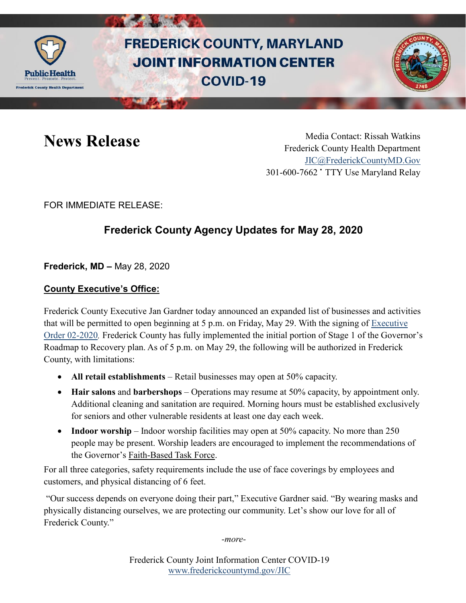

# **FREDERICK COUNTY, MARYLAND JOINT INFORMATION CENTER COVID-19**



News Release Media Contact: Rissah Watkins Frederick County Health Department [JIC@FrederickCountyMD.Gov](mailto:JIC@FrederickCountyMD.Gov) 301-600-7662 • TTY Use Maryland Relay

FOR IMMEDIATE RELEASE:

## **Frederick County Agency Updates for May 28, 2020**

**Frederick, MD –** May 28, 2020

#### **County Executive's Office:**

Frederick County Executive Jan Gardner today announced an expanded list of businesses and activities that will be permitted to open beginning at 5 p.m. on Friday, May 29. With the signing of [Executive](http://frederickcountymd.gov/Executive-Orders)  [Order 02-2020](http://frederickcountymd.gov/Executive-Orders)*,* Frederick County has fully implemented the initial portion of Stage 1 of the Governor's Roadmap to Recovery plan. As of 5 p.m. on May 29, the following will be authorized in Frederick County, with limitations:

- **All retail establishments** Retail businesses may open at 50% capacity.
- **Hair salons** and **barbershops**  Operations may resume at 50% capacity, by appointment only. Additional cleaning and sanitation are required. Morning hours must be established exclusively for seniors and other vulnerable residents at least one day each week.
- **Indoor worship** Indoor worship facilities may open at 50% capacity. No more than 250 people may be present. Worship leaders are encouraged to implement the recommendations of the Governor's [Faith-Based Task Force.](https://goci.maryland.gov/wp-content/uploads/sites/2/2020/05/Faith-Based-Recommendations.pdf)

For all three categories, safety requirements include the use of face coverings by employees and customers, and physical distancing of 6 feet.

"Our success depends on everyone doing their part," Executive Gardner said. "By wearing masks and physically distancing ourselves, we are protecting our community. Let's show our love for all of Frederick County."

*-more-*

Frederick County Joint Information Center COVID-19 [www.frederickcountymd.gov/JIC](https://frederickcountymd.gov/JIC)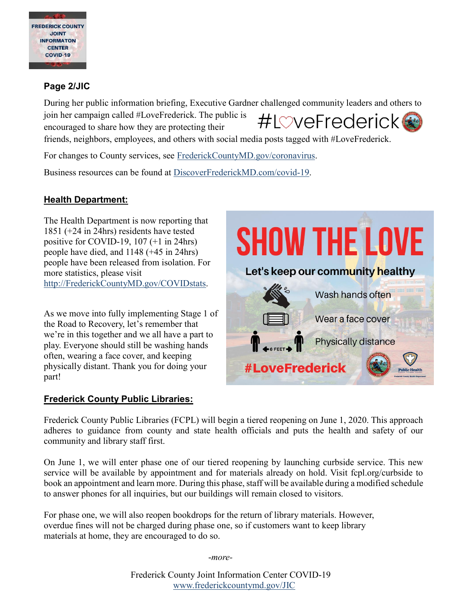

#### **Page 2/JIC**

During her public information briefing, Executive Gardner challenged community leaders and others to join her campaign called #LoveFrederick. The public is #L©veFrederick encouraged to share how they are protecting their friends, neighbors, employees, and others with social media posts tagged with #LoveFrederick.

For changes to County services, see [FrederickCountyMD.gov/coronavirus.](https://www.frederickcountymd.gov/8071/Coronavirus---COVID-19-Resources)

Business resources can be found at [DiscoverFrederickMD.com/covid-19.](http://www.discoverfrederickmd.com/covid-19)

### **Health Department:**

The Health Department is now reporting that 1851 (+24 in 24hrs) residents have tested positive for COVID-19, 107 (+1 in 24hrs) people have died, and 1148 (+45 in 24hrs) people have been released from isolation. For more statistics, please visit [http://FrederickCountyMD.gov/COVIDstats.](http://frederickcountymd.gov/COVIDstats)

As we move into fully implementing Stage 1 of the Road to Recovery, let's remember that we're in this together and we all have a part to play. Everyone should still be washing hands often, wearing a face cover, and keeping physically distant. Thank you for doing your part!

#### **Frederick County Public Libraries:**



Frederick County Public Libraries (FCPL) will begin a tiered reopening on June 1, 2020. This approach adheres to guidance from county and state health officials and puts the health and safety of our community and library staff first.

On June 1, we will enter phase one of our tiered reopening by launching curbside service. This new service will be available by appointment and for materials already on hold. Visit fcpl.org/curbside to book an appointment and learn more. During this phase, staff will be available during a modified schedule to answer phones for all inquiries, but our buildings will remain closed to visitors.

For phase one, we will also reopen bookdrops for the return of library materials. However, overdue fines will not be charged during phase one, so if customers want to keep library materials at home, they are encouraged to do so.

-*more-* 

Frederick County Joint Information Center COVID-19 [www.frederickcountymd.gov/JIC](https://frederickcountymd.gov/JIC)